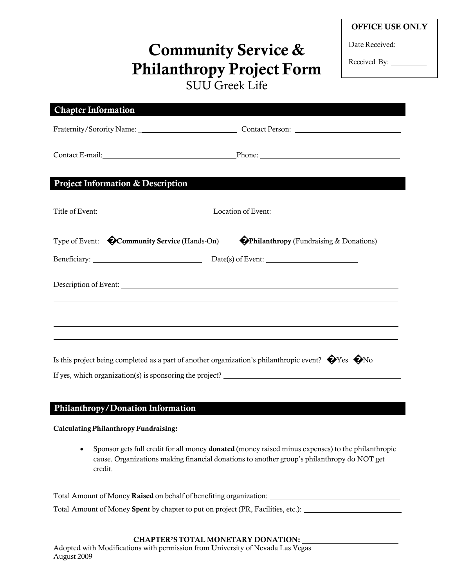| <b>OFFICE USE ONLY</b> |  |
|------------------------|--|
|------------------------|--|

Date Received:

Received By: \_\_\_\_\_\_\_\_\_

# **Community Service & Philanthropy Project Form** SUU Greek Life

| <b>Chapter Information</b>                               |                                                                                                                                                                                                                                |
|----------------------------------------------------------|--------------------------------------------------------------------------------------------------------------------------------------------------------------------------------------------------------------------------------|
|                                                          |                                                                                                                                                                                                                                |
|                                                          | Contact E-mail: Phone: Phone: Phone: Phone: Phone: Phone: Phone: Phone: Phone: Phone: Phone: Phone: Phone: Phone: Phone: Phone: Phone: Phone: Phone: Phone: Phone: Phone: Phone: Phone: Phone: Phone: Phone: Phone: Phone: Pho |
| <b>Project Information &amp; Description</b>             |                                                                                                                                                                                                                                |
|                                                          |                                                                                                                                                                                                                                |
|                                                          | Title of Event: Location of Event: Location of Event:                                                                                                                                                                          |
| Type of Event: <b>COmmunity Service</b> (Hands-On)       | <b>Philanthropy</b> (Fundraising & Donations)                                                                                                                                                                                  |
|                                                          | Beneficiary: Date(s) of Event:                                                                                                                                                                                                 |
|                                                          |                                                                                                                                                                                                                                |
|                                                          |                                                                                                                                                                                                                                |
|                                                          |                                                                                                                                                                                                                                |
|                                                          |                                                                                                                                                                                                                                |
|                                                          | Is this project being completed as a part of another organization's philanthropic event? $\bullet$ Yes $\bullet$ No                                                                                                            |
| If yes, which organization(s) is sponsoring the project? |                                                                                                                                                                                                                                |

### **Philanthropy/Donation Information**

**Calculating Philanthropy Fundraising:**

 Sponsor gets full credit for all money **donated** (money raised minus expenses) to the philanthropic cause. Organizations making financial donations to another group's philanthropy do NOT get credit.

Total Amount of Money **Raised** on behalf of benefiting organization: Total Amount of Money **Spent** by chapter to put on project (PR, Facilities, etc.):

#### **CHAPTER'S TOTAL MONETARY DONATION:**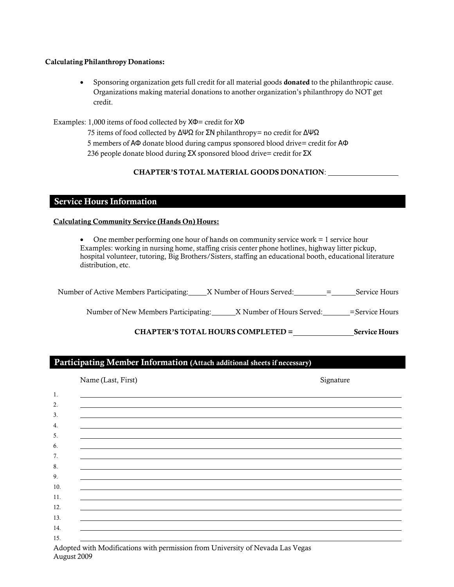#### **Calculating Philanthropy Donations:**

 Sponsoring organization gets full credit for all material goods **donated** to the philanthropic cause. Organizations making material donations to another organization's philanthropy do NOT get credit.

Examples: 1,000 items of food collected by ΧΦ= credit for ΧΦ

75 items of food collected by ΔΨΩ for ΣΝ philanthropy= no credit for ΔΨΩ 5 members of ΑΦ donate blood during campus sponsored blood drive= credit for ΑΦ 236 people donate blood during ΣΧ sponsored blood drive= credit for ΣΧ

#### **CHAPTER'S TOTAL MATERIAL GOODS DONATION**:

#### **Service Hours Information**

#### **Calculating Community Service (Hands On) Hours:**

 One member performing one hour of hands on community service work = 1 service hour Examples: working in nursing home, staffing crisis center phone hotlines, highway litter pickup, hospital volunteer, tutoring, Big Brothers/Sisters, staffing an educational booth, educational literature distribution, etc.

| Number of Active Members Participating: X Number of Hours Served: |  | Service Hours |
|-------------------------------------------------------------------|--|---------------|
|                                                                   |  |               |

Number of New Members Participating: X Number of Hours Served: \_\_\_\_\_\_= Service Hours

**CHAPTER'S TOTAL HOURS COMPLETED = Service Hours**

#### **Participating Member Information (Attach additional sheets if necessary)**

| Name (Last, First) | Signature |
|--------------------|-----------|
| 1.                 |           |
| 2.                 |           |
| 3.                 |           |
| 4.                 |           |
| 5.                 |           |
| 6.                 |           |
| 7.                 |           |
|                    |           |
|                    |           |
| 10.                |           |
| 11.                |           |
| 12.                |           |
| 13.                |           |
| 14.                |           |
| 15.                |           |